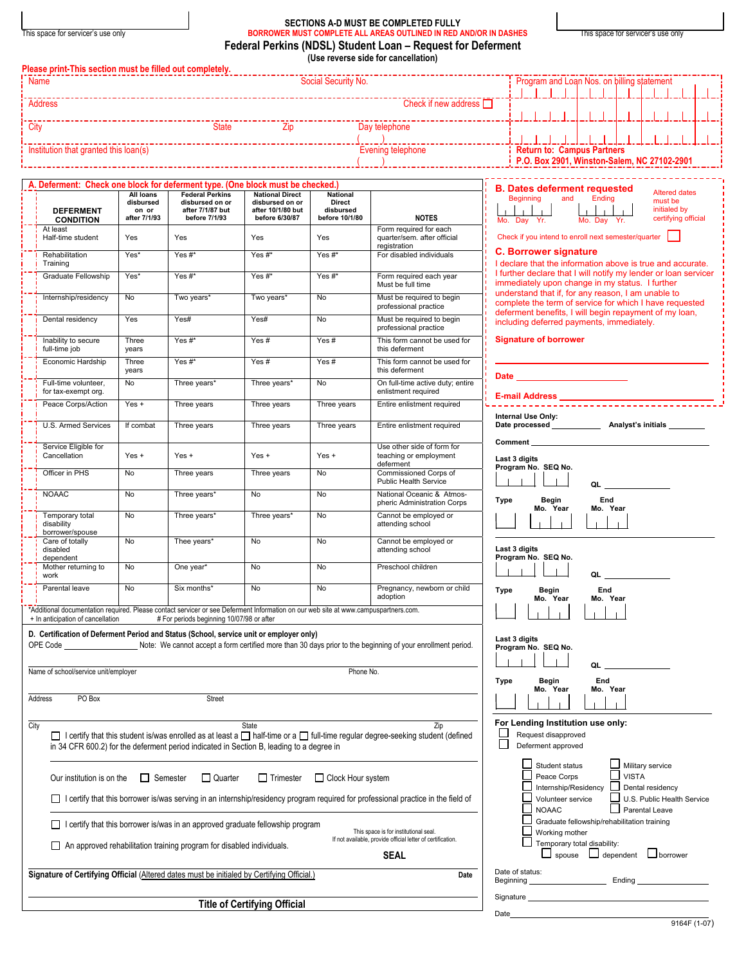|  | This space for servicer's use only |  |
|--|------------------------------------|--|

 $\overline{\phantom{a}}$ 

## **SECTIONS A-D MUST BE COMPLETED FULLY**  This space for servicer's use only **BORROWER MUST COMPLETE ALL AREAS OUTLINED IN RED AND/OR IN DASHES** This space for servicer's use only **Federal Perkins (NDSL) Student Loan – Request for Deferment (Use reverse side for cancellation)**

| <b>Name</b>                                                                                                                                                              |                                    |                                                                                          |                                           | Social Security No.                          |                                                                                                                                           | Program and Loan Nos. on billing statement                                                                                                                              |
|--------------------------------------------------------------------------------------------------------------------------------------------------------------------------|------------------------------------|------------------------------------------------------------------------------------------|-------------------------------------------|----------------------------------------------|-------------------------------------------------------------------------------------------------------------------------------------------|-------------------------------------------------------------------------------------------------------------------------------------------------------------------------|
| Address                                                                                                                                                                  |                                    |                                                                                          |                                           |                                              | Check if new address $\Box$                                                                                                               |                                                                                                                                                                         |
| City                                                                                                                                                                     |                                    |                                                                                          |                                           |                                              | Day telephone                                                                                                                             |                                                                                                                                                                         |
| Institution that granted this loan(s)                                                                                                                                    |                                    |                                                                                          |                                           |                                              | Evening telephone                                                                                                                         | <b>Return to: Campus Partners</b><br>P.O. Box 2901, Winston-Salem, NC 27102-2901                                                                                        |
| A. Deferment: Check one block for deferment type. (One block must be checked.)                                                                                           |                                    |                                                                                          |                                           |                                              |                                                                                                                                           |                                                                                                                                                                         |
|                                                                                                                                                                          | All loans                          | <b>Federal Perkins</b>                                                                   | <b>National Direct</b><br>disbursed on or | National                                     |                                                                                                                                           | <b>B. Dates deferment requested</b><br><b>Altered dates</b><br>Beginning<br>Ending<br>and<br>must be                                                                    |
| <b>DEFERMENT</b><br><b>CONDITION</b>                                                                                                                                     | disbursed<br>on or<br>after 7/1/93 | disbursed on or<br>after 7/1/87 but<br>before 7/1/93                                     | after 10/1/80 but<br>before 6/30/87       | <b>Direct</b><br>disbursed<br>before 10/1/80 | <b>NOTES</b>                                                                                                                              | initialed by<br>certifying official<br>Mo. Day Yr.<br>Mo. Day Yr.                                                                                                       |
| At least<br>Half-time student                                                                                                                                            | Yes                                | Yes                                                                                      | Yes                                       | Yes                                          | Form required for each<br>quarter/sem. after official<br>registration                                                                     | Check if you intend to enroll next semester/quarter                                                                                                                     |
| Rehabilitation<br>Training                                                                                                                                               | Yes*                               | Yes #*                                                                                   | Yes#*                                     | Yes #*                                       | For disabled individuals                                                                                                                  | <b>C. Borrower signature</b><br>I declare that the information above is true and accurate.                                                                              |
| Graduate Fellowship                                                                                                                                                      | Yes*                               | Yes #*                                                                                   | Yes#*                                     | Yes #*                                       | Form required each year<br>Must be full time                                                                                              | I further declare that I will notify my lender or loan servicer<br>immediately upon change in my status. I further                                                      |
| Internship/residency                                                                                                                                                     | No                                 | Two years*                                                                               | Two years*                                | No                                           | Must be required to begin<br>professional practice                                                                                        | understand that if, for any reason, I am unable to<br>complete the term of service for which I have requested<br>deferment benefits, I will begin repayment of my loan, |
| Dental residency                                                                                                                                                         | Yes                                | Yes#                                                                                     | Yes#                                      | No                                           | Must be required to begin<br>professional practice                                                                                        | including deferred payments, immediately.                                                                                                                               |
| Inability to secure<br>full-time job                                                                                                                                     | Three<br>years                     | Yes #*                                                                                   | Yes#                                      | Yes#                                         | This form cannot be used for<br>this deferment                                                                                            | <b>Signature of borrower</b>                                                                                                                                            |
| Economic Hardship                                                                                                                                                        | Three<br>years                     | Yes#*                                                                                    | Yes#                                      | Yes#                                         | This form cannot be used for<br>this deferment                                                                                            |                                                                                                                                                                         |
| Full-time volunteer,<br>for tax-exempt org.                                                                                                                              | No                                 | Three years*                                                                             | Three years*                              | No                                           | On full-time active duty; entire<br>enlistment required                                                                                   | <b>Date Date Contract Contract Property</b>                                                                                                                             |
| Peace Corps/Action                                                                                                                                                       | $Yes +$                            | Three years                                                                              | Three years                               | Three years                                  | Entire enlistment required                                                                                                                | <b>E-mail Address</b><br>Internal Use Only:                                                                                                                             |
| U.S. Armed Services                                                                                                                                                      | If combat                          | Three years                                                                              | Three years                               | Three years                                  | Entire enlistment required                                                                                                                | Date processed <b>Analyst's initials</b>                                                                                                                                |
| Service Eligible for<br>Cancellation                                                                                                                                     | $Yes +$                            | $Yes +$                                                                                  | $Yes +$                                   | $Yes +$                                      | Use other side of form for<br>teaching or employment                                                                                      | <b>Comment Comment</b><br>Last 3 digits                                                                                                                                 |
| Officer in PHS                                                                                                                                                           | <b>No</b>                          | Three years                                                                              | Three years                               | No                                           | deferment<br>Commissioned Corps of<br><b>Public Health Service</b>                                                                        | Program No. SEQ No.                                                                                                                                                     |
| <b>NOAAC</b>                                                                                                                                                             | No                                 | Three years*                                                                             | No                                        | No                                           | National Oceanic & Atmos-<br>pheric Administration Corps                                                                                  | QL<br>End<br>Type<br>Begin                                                                                                                                              |
| Temporary total<br>disability<br>borrower/spouse                                                                                                                         | <b>No</b>                          | Three years*                                                                             | Three years*                              | No                                           | Cannot be employed or<br>attending school                                                                                                 | Mo. Year<br>Mo. Year                                                                                                                                                    |
| Care of totally<br>disabled<br>dependent                                                                                                                                 | No                                 | Thee years*                                                                              | No                                        | No                                           | Cannot be employed or<br>attending school                                                                                                 | Last 3 digits<br>Program No. SEQ No.                                                                                                                                    |
| Mother returning to<br>work                                                                                                                                              | No                                 | One year*                                                                                | No                                        | No                                           | Preschool children                                                                                                                        | QL____________                                                                                                                                                          |
| Parental leave                                                                                                                                                           | <b>No</b>                          | Six months*                                                                              | <b>No</b>                                 | No                                           | Pregnancy, newborn or child<br>adoption                                                                                                   | <b>Type</b><br>End<br>Begin<br>Mo. Year<br>Mo. Year                                                                                                                     |
| *Additional documentation required. Please contact servicer or see Deferment Information on our web site at www.campuspartners.com.<br>+ In anticipation of cancellation |                                    | # For periods beginning 10/07/98 or after                                                |                                           |                                              |                                                                                                                                           | - 1                                                                                                                                                                     |
| D. Certification of Deferment Period and Status (School, service unit or employer only)                                                                                  |                                    |                                                                                          |                                           |                                              |                                                                                                                                           | Last 3 digits                                                                                                                                                           |
|                                                                                                                                                                          |                                    |                                                                                          |                                           |                                              | OPE Code _____________________Note: We cannot accept a form certified more than 30 days prior to the beginning of your enrollment period. | Program No. SEQ No.                                                                                                                                                     |
| Name of school/service unit/employer                                                                                                                                     |                                    |                                                                                          |                                           | Phone No.                                    |                                                                                                                                           | QL                                                                                                                                                                      |
| PO Box<br>Address                                                                                                                                                        |                                    | Street                                                                                   |                                           |                                              |                                                                                                                                           | End<br><b>Begin</b><br>Type<br>Mo. Year<br>Mo. Year                                                                                                                     |
|                                                                                                                                                                          |                                    |                                                                                          |                                           |                                              |                                                                                                                                           |                                                                                                                                                                         |
| City                                                                                                                                                                     |                                    | in 34 CFR 600.2) for the deferment period indicated in Section B, leading to a degree in | State                                     |                                              | Zip<br>□ I certify that this student is/was enrolled as at least a □ half-time or a □ full-time regular degree-seeking student (defined   | For Lending Institution use only:<br>Request disapproved<br>Deferment approved                                                                                          |
| Our institution is on the                                                                                                                                                | $\Box$ Semester                    | $\Box$ Quarter                                                                           | $\Box$ Trimester                          | □ Clock Hour system                          |                                                                                                                                           | Student status<br>Military service<br><b>VISTA</b><br>Peace Corps                                                                                                       |
|                                                                                                                                                                          |                                    |                                                                                          |                                           |                                              | □ I certify that this borrower is/was serving in an internship/residency program required for professional practice in the field of       | Internship/Residency<br>Dental residency<br>U.S. Public Health Service<br>Volunteer service                                                                             |
|                                                                                                                                                                          |                                    | I certify that this borrower is/was in an approved graduate fellowship program           |                                           |                                              |                                                                                                                                           | <b>NOAAC</b><br>$\Box$ Parental Leave<br>Graduate fellowship/rehabilitation training                                                                                    |
|                                                                                                                                                                          |                                    | An approved rehabilitation training program for disabled individuals.                    |                                           |                                              | This space is for institutional seal.<br>If not available, provide official letter of certification.<br><b>SEAL</b>                       | Working mother<br>Temporary total disability:<br>$\Box$ spouse $\Box$ dependent $\Box$ borrower                                                                         |
| Signature of Certifying Official (Altered dates must be initialed by Certifying Official.)                                                                               |                                    |                                                                                          |                                           |                                              | Date                                                                                                                                      | Date of status:                                                                                                                                                         |
|                                                                                                                                                                          |                                    |                                                                                          |                                           |                                              |                                                                                                                                           |                                                                                                                                                                         |

Date